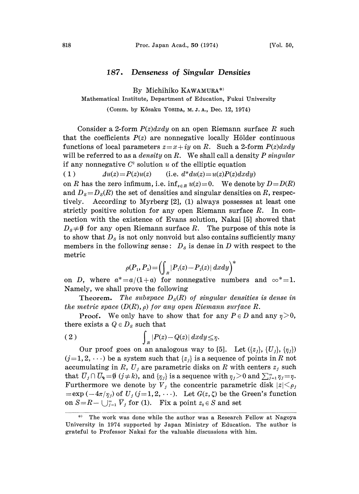## 187. Denseness of Singular Densities

By Michihiko KAWAMURA\*)

## Mathematical Institute, Department of Education, Fukui University

(Comm. by K6saku YOSIDA, M. J. A., Dec. 12, 1974)

Consider a 2-form  $P(z)dxdy$  on an open Riemann surface R such that the coefficients  $P(z)$  are nonnegative locally Hölder continuous functions of local parameters  $z=x+iy$  on R. Such a 2-form  $P(z)dxdy$ will be referred to as a *density* on R. We shall call a density  $P$  singular if any nonnegative  $C<sup>2</sup>$  solution u of the elliptic equation (1)  $\Delta u(z) = P(z)u(z)$  (i.e.  $d^*du(z) = u(z)P(z)dxdy$ )

on R has the zero infimum, i.e.  $\inf_{z \in R} u(z) = 0$ . We denote by  $D = D(R)$ and  $D_s = D_s(R)$  the set of densities and singular densities on R, respectively. According to Myrberg [2], (1) always possesses at least one strictly positive solution for any open Riemann surface  $R$ . In connection with the existence of Evans solution, Nakai [5] showed that  $D_s \neq 0$  for any open Riemann surface R. The purpose of this note is to show that  $D_s$  is not only nonvoid but also contains sufficiently many members in the following sense:  $D_s$  is dense in D with respect to the metric

$$
\rho(P_1, P_2) = \left(\int_{R} |P_1(z) - P_2(z)| dx dy\right)^*
$$

on D, where  $a^* = a/(1+a)$  for nonnegative numbers and  $\infty^* = 1$ . Namely, we shall prove the following

**Theorem.** The subspace  $D_s(R)$  of singular densities is dense in the metric space  $(D(R), \rho)$  for any open Riemann surface R.

**Proof.** We only have to show that for any  $P \in D$  and any  $\eta > 0$ , there exists a  $Q \in D_s$  such that

(2) 
$$
\int_{R} |P(z) - Q(z)| dx dy \leq \eta.
$$

Our proof goes on an analogous way to [5]. Let  $(\{z_j\}, \{U_j\}, \{\eta_j\})$  $(j=1, 2, \ldots)$  be a system such that  $\{z_i\}$  is a sequence of points in R not accumulating in R,  $U_j$  are parametric disks on R with centers  $z_j$  such that  $\overline{U}_j \cap \overline{U}_k = \emptyset$  (j  $\neq k$ ), and  $\{\eta_j\}$  is a sequence with  $\eta_j > 0$  and  $\sum_{j=1}^{\infty} \eta_j = \eta$ . Furthermore we denote by  $V_j$  the concentric parametric disk  $|z| \le \rho_j$  $=\exp \left(-4\pi/\eta_j\right)$  of  $U_j$  (j=1, 2,  $\cdots$ ). Let  $G(z, \zeta)$  be the Green's function on  $S=R-\bigcup_{j=1}^{\infty} \overline{V}_j$  for (1). Fix a point  $z_0 \in S$  and set

The work was done while the author was a Research Fellow at Nagoya University in 1974 supported by Japan Ministry of Education. The author is grateful to Professor Nakai for the valuable discussions with him.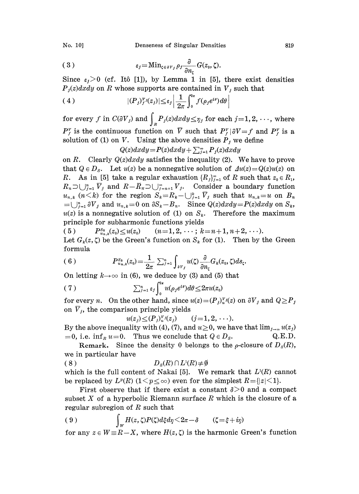(3) 
$$
\epsilon_j = \mathrm{Min}_{\zeta \in \partial V_j} \rho_j \frac{\partial}{\partial n_\zeta} G(z_0, \zeta).
$$

Since  $\varepsilon_i > 0$  (cf. Itô [1]), by Lemma 1 in [5], there exist densities  $P_i(z)dxdy$  on R whose supports are contained in  $V_i$  such that

(4) 
$$
|(P_j)_{j}^{\nu_j}(z_j)| \leq \varepsilon_j \left| \frac{1}{2\pi} \int_0^{2\pi} f(\rho_j e^{i\theta}) d\theta \right|
$$

for every  $f$  in  $C(\partial V_j)$  and  $\int_R P_j(z)dxdy\!\leq\!\eta_j$  for each  $j\!=\!1,2,\,\cdots$  , where  $P_f^v$  is the continuous function on  $\overline{V}$  such that  $P_f^v|\partial V=f$  and  $P_f^v$  is a solution of (1) on V. Using the above densities  $P_j$  we define

 $Q(z)dxdy = P(z)dxdy + \sum_{i=1}^{\infty} P_i(z)dxdy$ 

on R. Clearly  $Q(z)dxdy$  satisfies the inequality (2). We have to prove that  $Q \in D_s$ . Let  $u(z)$  be a nonnegative solution of  $\Delta u(z) = Q(z)u(z)$  on R. As in [5] take a regular exhaustion  ${R_j}_{j=1}^{\infty}$  of R such that  $z_0 \in R_1$ ,  $R_n \supset \bigcup_{j=1}^n \overline{V}_j$  and  $R-\overline{R}_n \supset \bigcup_{j=n+1}^{\infty} V_j$ . Consider a boundary function  $u_{n,k}$   $(n\leq k)$  for the region  $S_k=R_k-\bigcup_{j=1}^k \overline{V}_j$  such that  $u_{n,k}=u$  on  $B_n$  $=\bigcup_{j=1}^n \partial V_j$  and  $u_{n,k}=0$  on  $\partial S_k-B_n$ . Since  $Q(z)dxdy=P(z)dxdy$  on  $S_k$ ,  $u(z)$  is a nonnegative solution of (1) on  $S_k$ . Therefore the maximum principle for subharmonic functions yields

( 5 )  $P_{u_n}^{S_k}(z_0) \le u(z_0) \qquad (n=1, 2, \cdots; k=n+1, n+2, \cdots).$ Let  $G_k(z, \zeta)$  be the Green's function on  $S_k$  for (1). Then by the Green formula

(6) 
$$
P_{u_n,k}^{S_k}(z_0) = \frac{1}{2\pi} \sum_{j=1}^n \int_{\partial V_j} u(\zeta) \frac{\partial}{\partial n_{\zeta}} G_k(z_0,\zeta) ds_{\zeta}.
$$

On letting  $k \rightarrow \infty$  in (6), we deduce by (3) and (5) that

$$
(7) \qquad \qquad \sum_{j=1}^n \varepsilon_j \int_0^{2\pi} u(\rho_j e^{i\theta}) d\theta \leq 2\pi u(z_0)
$$

for every *n*. On the other hand, since  $u(z)=(P_j)_{u}^{\gamma}(z)$  on  $\partial V_j$  and  $Q\geq P_j$ on  $\bar{V}_j$ , the comparison principle yields

$$
u(z_j) \leq (P_j)_{u}^{\nu_j}(z_j) \qquad (j=1,2,\cdots).
$$

By the above inequality with (4), (7), and  $u \ge 0$ , we have that  $\lim_{j\to\infty} u(z_j) = 0$ , i.e. inf  $u=0$ . Thus we conclude that  $Q \in D_s$ . Q.E.D.  $=0$ , i.e. inf<sub>R</sub>  $u=0$ . Thus we conclude that  $Q \in D<sub>S</sub>$ .

Remark. Since the density 0 belongs to the  $\rho$ -closure of  $D_s(R)$ , we in particular have

( 8 )  $D_s(R) \cap L^1(R) \neq \emptyset$ 

which is the full content of Nakai [5]. We remark that  $L^{1}(R)$  cannot be replaced by  $L^p(R)$   $(1 \leq p \leq \infty)$  even for the simplest  $R = \{|z| \leq 1\}.$ 

First observe that if there exist a constant  $\delta > 0$  and a compact subset  $X$  of a hyperbolic Riemann surface  $R$  which is the closure of a regular subregion of  $R$  such that

$$
(9) \qquad \qquad \int_W H(z,\zeta)P(\zeta)d\zeta d\eta \leq 2\pi - \delta \qquad (\zeta = \xi + i\eta)
$$

for any  $z \in W \equiv R-X$ , where  $H(z, \zeta)$  is the harmonic Green's function